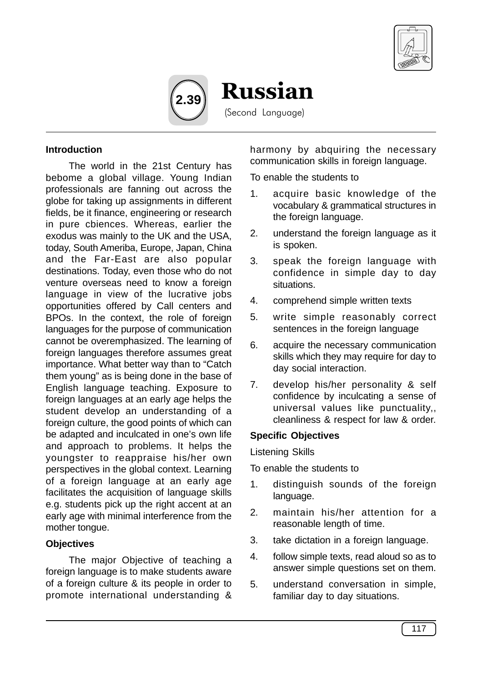



Russian

(Second Language)

#### **Introduction**

The world in the 21st Century has bebome a global village. Young Indian professionals are fanning out across the globe for taking up assignments in different fields, be it finance, engineering or research in pure cbiences. Whereas, earlier the exodus was mainly to the UK and the USA, today, South Ameriba, Europe, Japan, China and the Far-East are also popular destinations. Today, even those who do not venture overseas need to know a foreign language in view of the lucrative jobs opportunities offered by Call centers and BPOs. In the context, the role of foreign languages for the purpose of communication cannot be overemphasized. The learning of foreign languages therefore assumes great importance. What better way than to "Catch them young" as is being done in the base of English language teaching. Exposure to foreign languages at an early age helps the student develop an understanding of a foreign culture, the good points of which can be adapted and inculcated in one's own life and approach to problems. It helps the youngster to reappraise his/her own perspectives in the global context. Learning of a foreign language at an early age facilitates the acquisition of language skills e.g. students pick up the right accent at an early age with minimal interference from the mother tongue.

### **Objectives**

The major Objective of teaching a foreign language is to make students aware of a foreign culture & its people in order to promote international understanding &

harmony by abquiring the necessary communication skills in foreign language.

To enable the students to

- 1. acquire basic knowledge of the vocabulary & grammatical structures in the foreign language.
- 2. understand the foreign language as it is spoken.
- 3. speak the foreign language with confidence in simple day to day situations.
- 4. comprehend simple written texts
- 5. write simple reasonably correct sentences in the foreign language
- 6. acquire the necessary communication skills which they may require for day to day social interaction.
- 7. develop his/her personality & self confidence by inculcating a sense of universal values like punctuality,, cleanliness & respect for law & order.

### **Specific Objectives**

Listening Skills

To enable the students to

- 1. distinguish sounds of the foreign language.
- 2. maintain his/her attention for a reasonable length of time.
- 3. take dictation in a foreign language.
- 4. follow simple texts, read aloud so as to answer simple questions set on them.
- 5. understand conversation in simple, familiar day to day situations.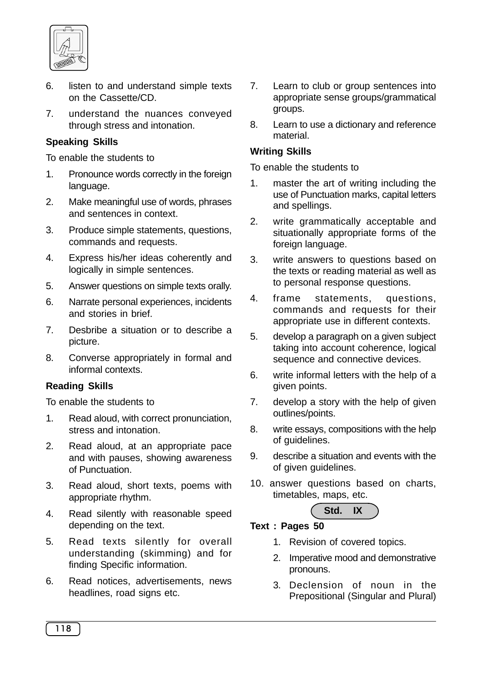

- 6. listen to and understand simple texts on the Cassette/CD.
- 7. understand the nuances conveyed through stress and intonation.

## **Speaking Skills**

To enable the students to

- 1. Pronounce words correctly in the foreign language.
- 2. Make meaningful use of words, phrases and sentences in context.
- 3. Produce simple statements, questions, commands and requests.
- 4. Express his/her ideas coherently and logically in simple sentences.
- 5. Answer questions on simple texts orally.
- 6. Narrate personal experiences, incidents and stories in brief.
- 7. Desbribe a situation or to describe a picture.
- 8. Converse appropriately in formal and informal contexts.

### **Reading Skills**

To enable the students to

- 1. Read aloud, with correct pronunciation, stress and intonation.
- 2. Read aloud, at an appropriate pace and with pauses, showing awareness of Punctuation.
- 3. Read aloud, short texts, poems with appropriate rhythm.
- 4. Read silently with reasonable speed depending on the text.
- 5. Read texts silently for overall understanding (skimming) and for finding Specific information.
- 6. Read notices, advertisements, news headlines, road signs etc.
- 7. Learn to club or group sentences into appropriate sense groups/grammatical groups.
- 8. Learn to use a dictionary and reference material.

## **Writing Skills**

To enable the students to

- 1. master the art of writing including the use of Punctuation marks, capital letters and spellings.
- 2. write grammatically acceptable and situationally appropriate forms of the foreign language.
- 3. write answers to questions based on the texts or reading material as well as to personal response questions.
- 4. frame statements, questions, commands and requests for their appropriate use in different contexts.
- 5. develop a paragraph on a given subject taking into account coherence, logical sequence and connective devices.
- 6. write informal letters with the help of a given points.
- 7. develop a story with the help of given outlines/points.
- 8. write essays, compositions with the help of guidelines.
- 9. describe a situation and events with the of given guidelines.
- 10. answer questions based on charts, timetables, maps, etc.

# **Std. IX**

## **Text : Pages 50**

- 1. Revision of covered topics.
- 2. Imperative mood and demonstrative pronouns.
- 3. Declension of noun in the Prepositional (Singular and Plural)